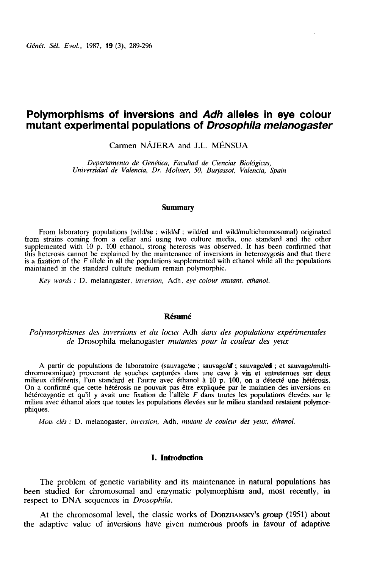# Polymorphisms of inversions and Adh alleles in eye colour mutant experimental populations of Drosophila melanogaster

Carmen NÁJERA and LL. MÉNSUA

Departamento de Gen gtica, Facultad de Ciencias Biol6gicas, Universidad de Valencia, Dr. Moliner, 50, Burjassot, Valencia, Spain

#### Summary

From laboratory populations (wild/se ; wild/sf ; wild/cd and wild/multichromosomal) originated from strains coming from a cellar and using two culture media, one standard and the other supplemented with 10 p. 100 ethanol, strong heterosis was observed. It has been confirmed that this heterosis cannot be explained by the maintenance of inversions in heterozygosis and that there is a fixation of the  $F$  allele in all the populations supplemented with ethanol while all the populations maintained in the standard culture medium remain polymorphic.

Key words : D. melanogaster, inversion, Adh, eye colour mutant, ethanol.

#### Résumé

Polymorphismes des inversions et du locus Adh dans des populations expérimentales de Drosophila melanogaster mutantes pour la couleur des yeux

A partir de populations de laboratoire (sauvage/se ; sauvage/sf ; sauvage/cd ; et sauvage/multichromosomique) provenant de souches capturées dans une cave à vin et entretenues sur deux milieux différents, l'un standard et l'autre avec éthanol à 10 p. 100, on a détecté une hétérosis. On a confirmé que cette hétérosis ne pouvait pas être expliquée par le maintien des inversions en hétérozygotie et qu'il y avait une fixation de l'allèle F dans toutes les populations élevées sur le milieu avec éthanol alors que toutes les populations élevées sur le milieu standard restaient polyinor phiques.

Mots clés : D. melanogaster, inversion, Adh, mutant de couleur des yeux, éthanol.

#### I. Introduction

The problem of genetic variability and its maintenance in natural populations has been studied for chromosomal and enzymatic polymorphism and, most recently, in respect to DNA sequences in Drosophila. **Example 12** Introduction<br>The problem of genetic variability and its maintenance in natural populations has<br>studied for chromosomal and enzymatic polymorphism and, most recently, in<br>ect to DNA sequences in *Drosophila*.<br>At

the adaptive value of inversions have given numerous proofs in favour of adaptive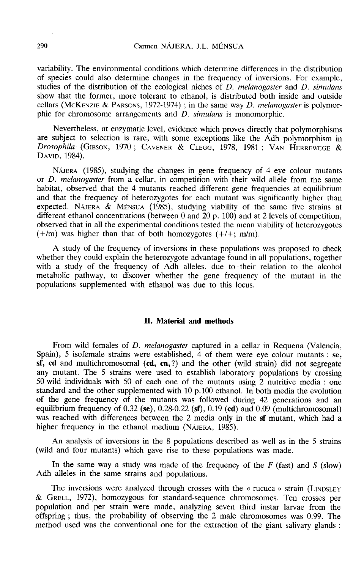variability. The environmental conditions which determine differences in the distribution of species could also determine changes in the frequency of inversions. For example, studies of the distribution of the ecological niches of  $D$ . melanogaster and  $D$ . simulans show that the former, more tolerant to ethanol, is distributed both inside and outside cellars (McKENZIE & PARSONS, 1972-1974) ; in the same way *D. melanogaster* is polymorvariability. The environmental conditions which determine differences in the distribution<br>of species could also determine changes in the frequency of inversions. For example,<br>studies of the distribution of the ecological n phic for chromosome arrangements and D. simulans is monomorphic.

Nevertheless, at enzymatic level, evidence which proves directly that polymorphisms are subject to selection is rare, with some exceptions like the Adh polymorphism in SHOW that the former, more tolerant to ethantof, is distributed both inside and ousse-<br>cellars (MCKENZIE & PARSONS, 1972-1974) ; in the same way *D. melanogaster* is polymo-<br>phic for chromosome arrangements and *D. simulan* DAVID, 1984).

NAJERA (1985), studying the changes in gene frequency of 4 eye colour mutants or D. melanogaster from a cellar, in competition with their wild allele from the same habitat, observed that the 4 mutants reached different gene frequencies at equilibrium and that the frequency of heterozygotes for each mutant was significantly higher than expected. NAJERA & MÉNSUA (1985), studying viability of the same five strains at different ethanol concentrations (between 0 and  $20$  p. 100) and at 2 levels of competition, observed that in all the experimental conditions tested the mean viability of heterozygotes  $(+/m)$  was higher than that of both homozygotes  $(+/+)$ ; m/m).

A study of the frequency of inversions in these populations was proposed to check whether they could explain the heterozygote advantage found in all populations, together with a study of the frequency of Adh alleles, due to their relation to the alcohol metabolic pathway, to discover whether the gene frequency of the mutant in the populations supplemented with ethanol was due to this locus.

## II. Material and methods

From wild females of *D. melanogaster* captured in a cellar in Requena (Valencia, Spain), 5 isofemale strains were established, 4 of them were eye colour mutants :  $se$ .  $sf, cd$  and multichromosomal  $(cd, cn, ?)$  and the other (wild strain) did not segregate any mutant. The 5 strains were used to establish laboratory populations by crossing 50 wild individuals with 50 of each one of the mutants using 2 nutritive media : one standard and the other supplemented with 10 p.100 ethanol. In both media the evolution standard and the other suppremented with 10 p.100 ethanol. In both lifedia the evolution<br>of the gene frequency of 0.32 (se), 0.28-0.22 (sf), 0.19 (cd) and 0.09 (multichromosomal)<br>was reached with differences between the 2 equilibrium frequency of  $0.32$  (se),  $0.28{\text -}0.22$  (sf),  $0.19$  (cd) and  $0.09$  (multichromosomal) was reached with differences between the 2 media only in the sf mutant, which had a higher frequency in the ethanol medium (NAJERA, 1985).

An analysis of inversions in the 8 populations described as well as in the 5 strains (wild and four mutants) which gave rise to these populations was made.

In the same way a study was made of the frequency of the  $F$  (fast) and  $S$  (slow) Adh alleles in the same strains and populations.

The inversions were analyzed through crosses with the « rucuca » strain (LINDSLEY & GRELL , 1972), homozygous for standard-sequence chromosomes. Ten crosses per population and per strain were made, analyzing seven third instar larvae from the offspring ; thus, the probability of observing the 2 male chromosomes was 0.99. The method used was the conventional one for the extraction of the giant salivary glands :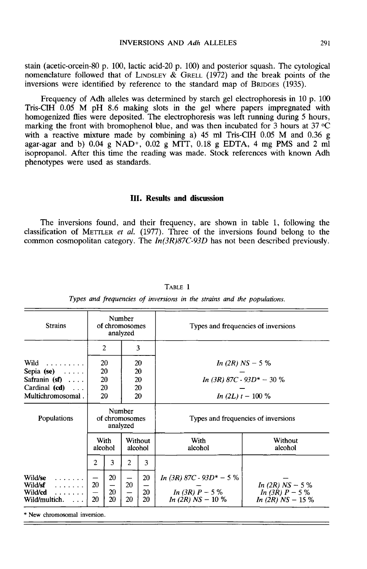stain (acetic-orcein-80 p. 100, lactic acid-20 p. 100) and posterior squash. The cytological nomenclature followed that of LINDSLEY & GRELL (1972) and the break points of the INVERSIONS AND Adh ALLELES 291<br>
stain (acetic-orcein-80 p. 100, lactic acid-20 p. 100) and posterior squash. The cytological<br>
nomenclature followed that of LINDSLEY & GRELL (1972) and the break points of the<br>
inversions we

Frequency of Adh alleles was determined by starch gel electrophoresis in 10 p. 100 Tris-CIH 0.05 M pH 8.6 making slots in the gel where papers impregnated with homogenized flies were deposited. The electrophoresis was left running during 5 hours, homogenized flies were deposited. The electrophoresis was left running during 5 hours, marking the front with bromophenol blue, and was then incubated for 3 hours at 37 °C with a reactive mixture made by combining a) 45 m with a reactive mixture made by combining a) 45 ml Tris-ClH 0.05 M and 0.36 g agar-agar and b) 0.04 g NAD<sup>+</sup>, 0.02 g MTT, 0.18 g EDTA, 4 mg PMS and 2 ml isopropanol. After this time the reading was made. Stock references with known Adh phenotypes were used as standards.

# III. Results and discussion

The inversions found, and their frequency, are shown in table 1, following the **III. Results and discussion**<br>The inversions found, and their frequency, are shown in table 1, following the<br>classification of METTLER *et al.* (1977). Three of the inversions found belong to the<br>common cosmopolitan categ common cosmopolitan category. The  $In(3R)87C-93D$  has not been described previously.

| <b>Strains</b>                                                                                   | Number<br>of chromosomes<br>analyzed |                            |                             |                            | Types and frequencies of inversions                                      |                                                             |  |  |
|--------------------------------------------------------------------------------------------------|--------------------------------------|----------------------------|-----------------------------|----------------------------|--------------------------------------------------------------------------|-------------------------------------------------------------|--|--|
|                                                                                                  |                                      | $\mathbf{2}$               |                             | 3                          |                                                                          |                                                             |  |  |
| Wild<br>.<br>Sepia $(se) \dots$<br>Safranin $(sf)$<br>Cardinal $(cd) \dots$<br>Multichromosomal. |                                      | 20<br>20<br>20<br>20<br>20 |                             | 20<br>20<br>20<br>20<br>20 | In (2R) $NS - 5%$<br>In (3R) $87C - 93D^* - 30\%$<br>In (2L) $t - 100\%$ |                                                             |  |  |
| Populations                                                                                      | Number<br>of chromosomes<br>analyzed |                            |                             |                            | Types and frequencies of inversions                                      |                                                             |  |  |
|                                                                                                  | With<br>alcohol                      |                            |                             | Without<br>alcohol         | With<br>alcohol                                                          | Without<br>alcohol                                          |  |  |
|                                                                                                  | $\overline{2}$                       | 3                          | 2                           | 3                          |                                                                          |                                                             |  |  |
| Wild/se<br>.<br>Wild/sf<br>.<br>Wild/cd<br>1.1.1.1.1.1<br>Wild/multich.<br>$\sim$ $\sim$ $\sim$  | 20<br>20                             | 20<br>20<br>20             | 20<br>$\qquad \qquad$<br>20 | 20<br>20<br>20             | In (3R) 87C - 93D* - 5 %<br>In (3R) $P - 5\%$<br>In (2R) $NS - 10\%$     | In (2R) $NS - 5%$<br>In (3R) $P - 5%$<br>In (2R) $NS - 15%$ |  |  |

TABLE 1

Types and frequencies of inversions in the strains and the populations.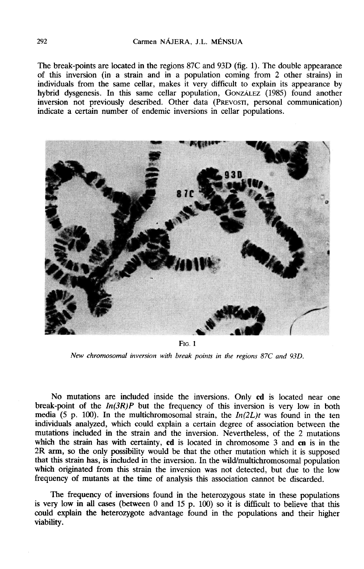The break-points are located in the regions 87C and 93D (fig. 1). The double appearance of this inversion (in a strain and in a population coming from 2 other strains) in individuals from the same cellar, makes it very difficult to explain its appearance by The break-points are located in the regions 87C and 93D (fig. 1). The double appearance of this inversion (in a strain and in a population coming from 2 other strains) in individuals from the same cellar, makes it very dif hybrid dysgenesis. In this same cellar population, GonzALEZ (1985) found another inversion not previously described. Other data (PREVOSTI, personal communication) indicate a certain number of endemic inversions in cellar populations.



 $Fig. 1$ 

New chromosomal inversion with break points in the regions 87C and 93D.

No mutations are included inside the inversions. Only cd is located near one break-point of the  $In(3R)P$  but the frequency of this inversion is very low in both media (5 p. 100). In the multichromosomal strain, the  $In(2L)t$  was found in the ten individuals analyzed, which could explain a certain degree of association between the mutations included in the strain and the inversion. Nevertheless, of the 2 mutations which the strain has with certainty, cd is located in chromosome 3 and cn is in the 2R arm, so the only possibility would be that the other mutation which it is supposed that this strain has, is included in the inversion. In the wild/multichromosomal population which originated from this strain the inversion was not detected, but due to the low frequency of mutants at the time of analysis this association cannot be discarded.

The frequency of inversions found in the heterozygous state in these populations is very low in all cases (between 0 and 15 p. 100) so it is difficult to believe that this could explain the heterozygote advantage found in the populations and their higher viability.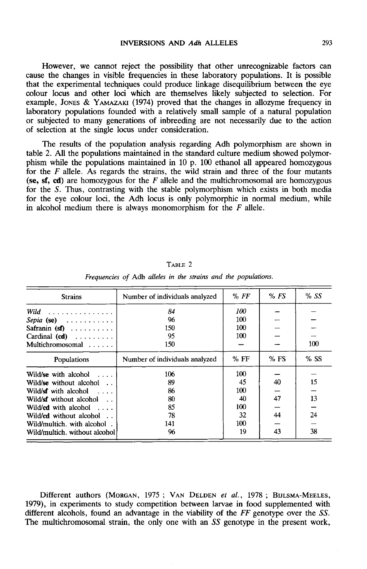However, we cannot reject the possibility that other unrecognizable factors can cause the changes in visible frequencies in these laboratory populations. It is possible that the experimental techniques could produce linkage disequilibrium between the eye colour locus and other loci which are themselves likely subjected to selection. For However, we cannot reject the possibility that other unrecognizable factors can<br>cause the changes in visible frequencies in these laboratory populations. It is possible<br>that the experimental techniques could produce linkag laboratory populations founded with a relatively small sample of a natural population or subjected to many generations of inbreeding are not necessarily due to the action of selection at the single locus under consideration.

The results of the population analysis regarding Adh polymorphism are shown in table 2. All the populations maintained in the standard culture medium showed polymorphism while the populations maintained in 10 p. 100 ethanol all appeared homozygous for the  $F$  allele. As regards the strains, the wild strain and three of the four mutants (se, sf, cd) are homozygous for the  $F$  allele and the multichromosomal are homozygous for the S. Thus, contrasting with the stable polymorphism which exists in both media for the eye colour loci, the Adh locus is only polymorphic in normal medium, while in alcohol medium there is always monomorphism for the  $F$  allele.

| <b>Strains</b>                    | Number of individuals analyzed | % FF   | %FS | %SS |
|-----------------------------------|--------------------------------|--------|-----|-----|
| Wild<br>.                         | 84                             | 100    |     |     |
| Sepia (se) $\ldots \ldots \ldots$ | 96                             | 100    |     |     |
| Safranin $(sf)$                   | 150                            | 100    |     |     |
| Cardinal $(cd)$                   | 95                             | 100    |     |     |
| Multichromosomal                  | 150                            |        |     | 100 |
| Populations                       | Number of individuals analyzed | $%$ FF | %FS | %SS |
| Wild/se with alcohol              | 106                            | 100    |     |     |
| Wild/se without alcohol           | 89                             | 45     | 40  | 15  |
| Wild/sf with alcohol $\dots$      | 86                             | 100    |     |     |
| Wild/sf without alcohol           | 80                             | 40     | 47  | 13  |
| Wild/cd with alcohol $\dots$      | 85                             | 100    |     |     |
| Wild/cd without alcohol           | 78                             | 32     | 44  | 24  |
| Wild/multich. with alcohol.       | 141                            | 100    |     |     |
| Wild/multich, without alcohol     | 96                             | 19     | 43  | 38  |

TABLE 2 Frequencies of Adh alleles in the strains and the populations.

Different authors (MORGAN, 1975; VAN DELDEN et al., 1978; BIJLSMA-MEE<br>1979), in experiments to study competition between larvae in food supplemented Different authors (Morgan, 1975; Van Delpen *et al.*, 1978;<br>
b. in experiments to study competition between larvae in food st  $\frac{1}{43}$   $\frac{1}{38}$ <br>BIJLSMA-MEELES,<br>pplemented with<br>ype over the SS. with different alcohols, found an advantage in the viability of the  $FF$  genotype over the SS. The multichromosomal strain, the only one with an SS genotype in the present work,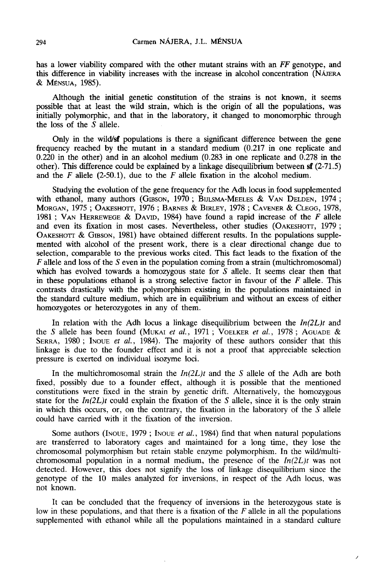has a lower viability compared with the other mutant strains with an FF genotype, and this difference in viability increases with the increase in alcohol concentration (NA JERA) has a lower viability<br>this difference in via<br>& Ménsua, 1985).

Although the initial genetic constitution of the strains is not known, it seems possible that at least the wild strain, which is the origin of all the populations, was initially polymorphic, and that in the laboratory, it changed to monomorphic through the loss of the  $\dot{S}$  allele.

Only in the wild/sf populations is there a significant difference between the gene frequency reached by the mutant in a standard medium (0.217 in one replicate and 0.220 in the other) and in an alcohol medium (0.283 in one replicate and 0.278 in the other). This difference could be explained by a linkage disequilibrium between sf (2-71.5) and the  $F$  allele (2-50.1), due to the  $F$  allele fixation in the alcohol medium. Only in the wild/sf populations is there a significant difference between the gene<br>frequency reached by the mutant in a standard medium (0.217 in one replicate and<br>0.220 in the other) and in an alcohol medium (0.283 in on

Studying the evolution of the gene frequency for the Adh locus in food supplemented with ethanol, many authors (GIBSON, 1970; BIJLSMA-MEELES & VAN DELDEN, 1974; Morgan, 1975 ; OAKESHOTT, 1976 ; BARNES & BIRLEY, 1978 ; CAVENER & CLEGG, 1978, 1981 ; VAN HERREWEGE & DAVID, 1984) have found a rapid direction of the F allele (2-50.1), due to the F allele fixation in the alcohol medium other). This difference could be explained by a linkage disequilibrium between  $\mathbf{S}$ r (2-71.5) and the F allele (2-50.1), due to the F allele fixation in the alcohol medium.<br>Studying the evolution of the gene frequency Studyin<br>
with ethan<br>
MORGAN, 1<br>
1981 ; VAN<br>
and even<br>
OAKESHOTT<br>
mented with<br>
mented with MORGAN, 1975; OAKESHOTT, 1976; BARNES & BIRLEY, 1978; CAVENER & CLEGG, 1978, 1981; VAN HERREWEGE & DAVID, 1984) have found a rapid increase of the F allele and even its fixation in most cases. Nevertheless, other studies 1981 ; VAN HERREWEGE & DAVID, 1984) have found a rapid increase of the  $F$  allele and even its fixation in most cases. Nevertheless, other studies (OAKESHOTT, 1979 ; OAKESHOTT & GIBSON, 1981) have obtained different resul mented with alcohol of the present work, there is a clear directional change due to selection, comparable to the previous works cited. This fact leads to the fixation of the  $F$  allele and loss of the  $S$  even in the population coming from a strain (multichromosomal) which has evolved towards a homozygous state for  $S$  allele. It seems clear then that in these populations ethanol is a strong selective factor in favour of the  $F$  allele. This contrasts drastically with the polymorphism existing in the populations maintained in the standard culture medium, which are in equilibrium and without an excess of either homozygotes or heterozygotes in any of them.

In relation with the Adh locus a linkage disequilibrium between the  $In(2L)t$  and the standard culture medium, which are in equilibrium and without an excess of either<br>homozygotes or heterozygotes in any of them.<br>In relation with the Adh locus a linkage disequilibrium between the  $In(2L)t$  and<br>the S alle linkage is due to the founder effect and it is not a proof that appreciable selection pressure is exerted on individual isozyme loci.

In the multichromosomal strain the  $In(2L)t$  and the S allele of the Adh are both fixed, possibly due to a founder effect, although it is possible that the mentioned constitutions were fixed in the strain by genetic drift. Alternatively, the homozygous state for the  $In(2L)t$  could explain the fixation of the S allele, since it is the only strain could have carried with it the fixation of the inversion.

in which this occurs, or, on the contrary, the fixation in the laboratory of the  $S$  allele<br>could have carried with it the fixation of the inversion.<br>Some authors (INOUE, 1979 ; INOUE *et al.*, 1984) find that when natura chromosomal polymorphism but retain stable enzyme polymorphism. In the wild/multichromosomal population in a normal medium, the presence of the  $In(2L)t$  was not detected. However, this does not signify the loss of linkage disequilibrium since the genotype of the 10 males analyzed for inversions, in respect of the Adh locus, was not known.

It can be concluded that the frequency of inversions in the heterozygous state is low in these populations, and that there is a fixation of the  $F$  allele in all the populations supplemented with ethanol while all the populations maintained in a standard culture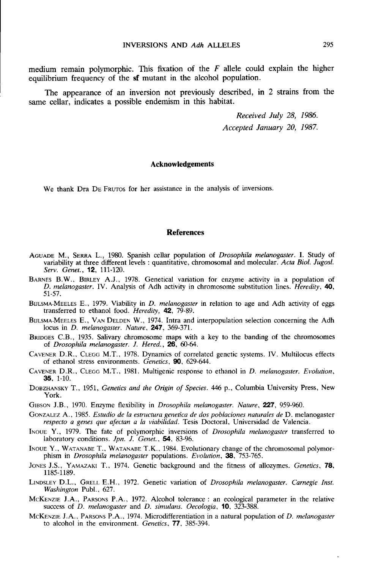medium remain polymorphic. This fixation of the  $F$  allele could explain the higher equilibrium frequency of the sf mutant in the alcohol population.

The appearance of an inversion not previously described, in 2 strains from the same cellar, indicates a possible endemism in this habitat.

> Received July 28, 1986. Accepted January 20, 1987.

### Acknowledgements

We thank Dra DE FRUTOS for her assistance in the analysis of inversions.

# **References**

- AGUADE M., SERRA L., 1980. Spanish cellar population of Drosophila melanogaster. I. Study of variability at three different levels : quantitative, chromosomal and molecular. Acta Biol. Jugosl. Serv. Genet., **12**, 111-120. AGUADE M., SERRA L., 1980. Spanish cellar population of *Drosophila melanogaster*. I. Study of variability at three different levels : quantitative, chromosomal and molecular. Acta Biol. Jugosl. Serv. Genet., **12**, 111-120
- D. melanogaster. IV. Analysis of Adh activity in chromosome substitution lines. Heredity, 40, 51-57. variability<br>
Serv. Gene<br>
BARNES B.W.,<br>
D. melano<sub>?</sub><br>
51-57.<br>
BIJLSMA-MEELES<br>
transferred<br>
BIJLSMA-MEELES<br>
locus in D<br>
BERNES C B
- BIJLSMA-MEELES E., 1979. Viability in *D. melanogaster* in relation to age and Adh activity of eggs transferred to ethanol food. Heredity, 42, 79-89. S1-57.<br>BIJLSMA-MEELES E., 1979. Viability in *D. melanogaster* in relation to age and Adh activity of eggs<br>transferred to ethanol food. *Heredity*, **42**, 79-89.<br>BIJLSMA-MEELES E., VAN DELDEN W., 1974. Intra and interpopula
- locus in *D. melanogaster. Nature*, **247**, 369-371.
- BRIDGES C.B., 1935. Salivary chromosome maps with a key to the banding of the chromosomes of Drosophila melanogaster. J. Hered., 26, 60-64.
- CAVENER D.R., CLEGG M.T., 1978. Dynamics and methopological extends of correlated genetic systems. IV. Multilocus effects of chrosophila melanogaster. J. Hered., 26, 60-64.<br>CAVENER D.R., CLEGG M.T., 1978. Dynamics of corre of ethanol stress environments. Genetics, 90, 629-644. CAVENER D.R., CLEGG M.T., 1978. Dynamics of correlated genetic systems. IV. Multilocus effects<br>
of *Drosophila melanogaster. J. Hered.*, **26**, 60-64.<br>
CAVENER D.R., CLEGG M.T., 1981. Multigenic response to ethanol in D. me
- 35, 1-10.
- DOBZHANSKY T., 1951, Genetics and the Origin of Species. 446 p., Columbia University Press, New York. **35.** 1-10.<br>
DOBZHANSKY T., 1951, *Genetics and the Origin of Species.* 446 p., Columbia University Press, New<br>
York.<br>
GIBSON J.B., 1970. Enzyme flexibility in *Drosophila melanogaster. Nature*, **227**, 959-960.<br>
GONZALEZ A
- GIBSON J.B., 1970. Enzyme flexibility in *Drosophila melanogaster. Nature*, **227**, 959-960.<br>GONZALEZ A., 1985. *Estudio de la estructura genetica de dos poblaciones naturales de D. melanogaster*
- respecto a genes que afectan a la viabilidad. Tesis Doctoral, Universidad de Valencia.
- INOUE Y., 1979. The fate of polymorphic inversions of *Drosophila melanogaster* transferred to laboratory conditions. Jpn. J. Genet., 54, 83-96.
- ITVOUE Y., 1985. Estudio de la estructura genetica de dos poblaciones naturales de D. melanogaster<br>
INOUE Y., 1979. The fate of polymorphic inversions of *Drosophila melanogaster* transferred to<br>
laboratory conditions. *Ip* JNOUE Y., 1979. The fate of polymorphic inversions of *Drosophila melanogaster* transferred to laboratory conditions. *Jpn. J. Genet.*, **54**, 83-96.<br>INOUE Y., WATANABE T., WATANABE T.K., 1984. Evolutionary change of the ch
- 1185-1189. DESET T., WALNABLE T.K., 1964. EVOLUTION, **38**, 753-765.<br>DONES J.S., YAMAZAKI T., 1974. Genetic background and the fitness of allozymes. *Genetics*, **78**.<br>LINDSLEY D.L., GRELL E.H., 1972. Genetic variation of *Drosophila m*
- Washington Publ., 627. MCKENZIE J.A., PAMAZAKI T., 1974. Genetic background and the fitness of allozymes. *Genetics*, **78.** 1185-1189.<br>
LINDSLEY D.L., GRELL E.H., 1972. Genetic variation of *Drosophila melanogaster*. *Carnegie Inst.* Washington LINDSLEY D.L., GRELL E.H., 1972. Genetic variation of *Drosophila melanogaster*. Carnegie Inst.<br>
McKENZIE J.A., PARSONS P.A., 1972. Alcohol tolerance : an ecological parameter in the relative<br>
success of *D. melanogaster*
- success of D. melanogaster and D. simulans. Oecologia, **10**, 323-388.
-